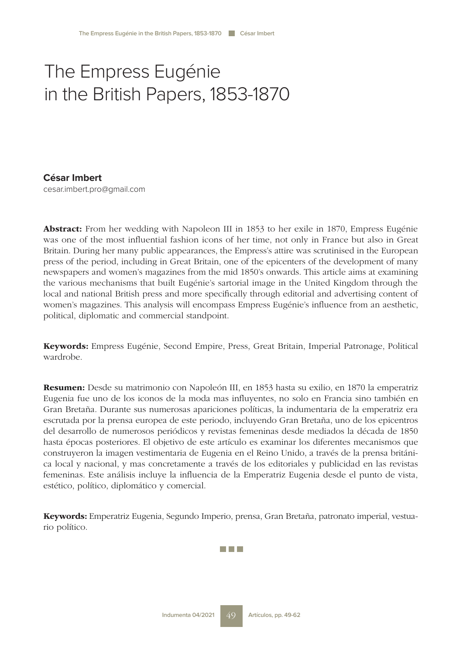# The Empress Eugénie in the British Papers, 1853-1870

# **César Imbert**

cesar.imbert.pro@gmail.com

Abstract: From her wedding with Napoleon III in 1853 to her exile in 1870, Empress Eugénie was one of the most influential fashion icons of her time, not only in France but also in Great Britain. During her many public appearances, the Empress's attire was scrutinised in the European press of the period, including in Great Britain, one of the epicenters of the development of many newspapers and women's magazines from the mid 1850's onwards. This article aims at examining the various mechanisms that built Eugénie's sartorial image in the United Kingdom through the local and national British press and more specifically through editorial and advertising content of women's magazines. This analysis will encompass Empress Eugénie's influence from an aesthetic, political, diplomatic and commercial standpoint.

Keywords: Empress Eugénie, Second Empire, Press, Great Britain, Imperial Patronage, Political wardrobe.

Resumen: Desde su matrimonio con Napoleón III, en 1853 hasta su exilio, en 1870 la emperatriz Eugenia fue uno de los iconos de la moda mas influyentes, no solo en Francia sino también en Gran Bretaña. Durante sus numerosas apariciones políticas, la indumentaria de la emperatriz era escrutada por la prensa europea de este periodo, incluyendo Gran Bretaña, uno de los epicentros del desarrollo de numerosos periódicos y revistas femeninas desde mediados la década de 1850 hasta épocas posteriores. El objetivo de este artículo es examinar los diferentes mecanismos que construyeron la imagen vestimentaria de Eugenia en el Reino Unido, a través de la prensa británica local y nacional, y mas concretamente a través de los editoriales y publicidad en las revistas femeninas. Este análisis incluye la influencia de la Emperatriz Eugenia desde el punto de vista, estético, político, diplomático y comercial.

Keywords: Emperatriz Eugenia, Segundo Imperio, prensa, Gran Bretaña, patronato imperial, vestuario político.

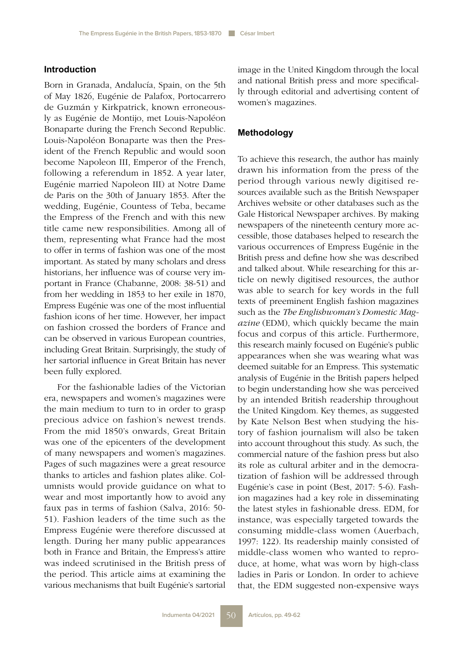## **Introduction**

Born in Granada, Andalucía, Spain, on the 5th of May 1826, Eugénie de Palafox, Portocarrero de Guzmán y Kirkpatrick, known erroneously as Eugénie de Montijo, met Louis-Napoléon Bonaparte during the French Second Republic. Louis-Napoléon Bonaparte was then the President of the French Republic and would soon become Napoleon III, Emperor of the French, following a referendum in 1852. A year later, Eugénie married Napoleon III) at Notre Dame de Paris on the 30th of January 1853. After the wedding, Eugénie, Countess of Teba, became the Empress of the French and with this new title came new responsibilities. Among all of them, representing what France had the most to offer in terms of fashion was one of the most important. As stated by many scholars and dress historians, her influence was of course very important in France (Chabanne, 2008: 38-51) and from her wedding in 1853 to her exile in 1870, Empress Eugénie was one of the most influential fashion icons of her time. However, her impact on fashion crossed the borders of France and can be observed in various European countries, including Great Britain. Surprisingly, the study of her sartorial influence in Great Britain has never been fully explored.

For the fashionable ladies of the Victorian era, newspapers and women's magazines were the main medium to turn to in order to grasp precious advice on fashion's newest trends. From the mid 1850's onwards, Great Britain was one of the epicenters of the development of many newspapers and women's magazines. Pages of such magazines were a great resource thanks to articles and fashion plates alike. Columnists would provide guidance on what to wear and most importantly how to avoid any faux pas in terms of fashion (Salva, 2016: 50- 51). Fashion leaders of the time such as the Empress Eugénie were therefore discussed at length. During her many public appearances both in France and Britain, the Empress's attire was indeed scrutinised in the British press of the period. This article aims at examining the various mechanisms that built Eugénie's sartorial image in the United Kingdom through the local and national British press and more specifically through editorial and advertising content of women's magazines.

## **Methodology**

To achieve this research, the author has mainly drawn his information from the press of the period through various newly digitised resources available such as the British Newspaper Archives website or other databases such as the Gale Historical Newspaper archives. By making newspapers of the nineteenth century more accessible, those databases helped to research the various occurrences of Empress Eugénie in the British press and define how she was described and talked about. While researching for this article on newly digitised resources, the author was able to search for key words in the full texts of preeminent English fashion magazines such as the *The Englishwoman's Domestic Magazine* (EDM), which quickly became the main focus and corpus of this article. Furthermore, this research mainly focused on Eugénie's public appearances when she was wearing what was deemed suitable for an Empress. This systematic analysis of Eugénie in the British papers helped to begin understanding how she was perceived by an intended British readership throughout the United Kingdom. Key themes, as suggested by Kate Nelson Best when studying the history of fashion journalism will also be taken into account throughout this study. As such, the commercial nature of the fashion press but also its role as cultural arbiter and in the democratization of fashion will be addressed through Eugénie's case in point (Best, 2017: 5-6). Fashion magazines had a key role in disseminating the latest styles in fashionable dress. EDM, for instance, was especially targeted towards the consuming middle-class women (Auerbach, 1997: 122). Its readership mainly consisted of middle-class women who wanted to reproduce, at home, what was worn by high-class ladies in Paris or London. In order to achieve that, the EDM suggested non-expensive ways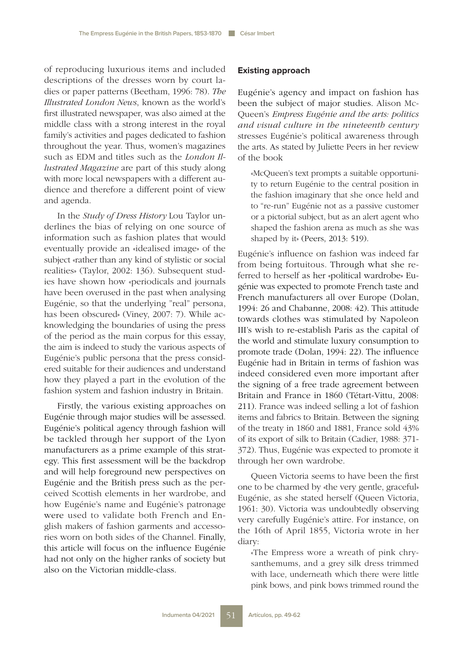of reproducing luxurious items and included descriptions of the dresses worn by court ladies or paper patterns (Beetham, 1996: 78). *The Illustrated London News*, known as the world's first illustrated newspaper, was also aimed at the middle class with a strong interest in the royal family's activities and pages dedicated to fashion throughout the year. Thus, women's magazines such as EDM and titles such as the *London Illustrated Magazine* are part of this study along with more local newspapers with a different audience and therefore a different point of view and agenda.

In the *Study of Dress History* Lou Taylor underlines the bias of relying on one source of information such as fashion plates that would eventually provide an «idealised image» of the subject «rather than any kind of stylistic or social realities» (Taylor, 2002: 136). Subsequent studies have shown how «periodicals and journals have been overused in the past when analysing Eugénie, so that the underlying "real" persona, has been obscured» (Viney, 2007: 7). While acknowledging the boundaries of using the press of the period as the main corpus for this essay, the aim is indeed to study the various aspects of Eugénie's public persona that the press considered suitable for their audiences and understand how they played a part in the evolution of the fashion system and fashion industry in Britain.

Firstly, the various existing approaches on Eugénie through major studies will be assessed. Eugénie's political agency through fashion will be tackled through her support of the Lyon manufacturers as a prime example of this strategy. This first assessment will be the backdrop and will help foreground new perspectives on Eugénie and the British press such as the perceived Scottish elements in her wardrobe, and how Eugénie's name and Eugénie's patronage were used to validate both French and English makers of fashion garments and accessories worn on both sides of the Channel. Finally, this article will focus on the influence Eugénie had not only on the higher ranks of society but also on the Victorian middle-class.

## **Existing approach**

Eugénie's agency and impact on fashion has been the subject of major studies. Alison Mc-Queen's *Empress Eugénie and the arts: politics and visual culture in the nineteenth century* stresses Eugénie's political awareness through the arts. As stated by Juliette Peers in her review of the book

«McQueen's text prompts a suitable opportunity to return Eugénie to the central position in the fashion imaginary that she once held and to "re-run" Eugénie not as a passive customer or a pictorial subject, but as an alert agent who shaped the fashion arena as much as she was shaped by it» (Peers, 2013: 519).

Eugénie's influence on fashion was indeed far from being fortuitous. Through what she referred to herself as her «political wardrobe» Eugénie was expected to promote French taste and French manufacturers all over Europe (Dolan, 1994: 26 and Chabanne, 2008: 42). This attitude towards clothes was stimulated by Napoleon III's wish to re-establish Paris as the capital of the world and stimulate luxury consumption to promote trade (Dolan, 1994: 22). The influence Eugénie had in Britain in terms of fashion was indeed considered even more important after the signing of a free trade agreement between Britain and France in 1860 (Tétart-Vittu, 2008: 211). France was indeed selling a lot of fashion items and fabrics to Britain. Between the signing of the treaty in 1860 and 1881, France sold 43% of its export of silk to Britain (Cadier, 1988: 371- 372). Thus, Eugénie was expected to promote it through her own wardrobe.

Queen Victoria seems to have been the first one to be charmed by «the very gentle, graceful» Eugénie, as she stated herself (Queen Victoria, 1961: 30). Victoria was undoubtedly observing very carefully Eugénie's attire. For instance, on the 16th of April 1855, Victoria wrote in her diary:

«The Empress wore a wreath of pink chrysanthemums, and a grey silk dress trimmed with lace, underneath which there were little pink bows, and pink bows trimmed round the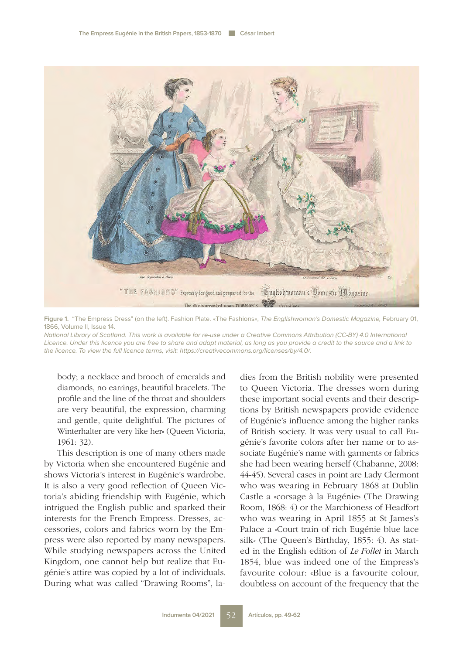

**Figure 1.** "The Empress Dress" (on the left). Fashion Plate. «The Fashions», The Englishwoman's Domestic Magazine, February 01, 1866, Volume II, Issue 14.

National Library of Scotland. This work is available for re-use under a Creative Commons Attribution (CC-BY) 4.0 International Licence. Under this licence you are free to share and adapt material, as long as you provide a credit to the source and a link to the licence. To view the full licence terms, visit: https://creativecommons.org/licenses/by/4.0/.

body; a necklace and brooch of emeralds and diamonds, no earrings, beautiful bracelets. The profile and the line of the throat and shoulders are very beautiful, the expression, charming and gentle, quite delightful. The pictures of Winterhalter are very like her» (Queen Victoria, 1961: 32).

This description is one of many others made by Victoria when she encountered Eugénie and shows Victoria's interest in Eugénie's wardrobe. It is also a very good reflection of Queen Victoria's abiding friendship with Eugénie, which intrigued the English public and sparked their interests for the French Empress. Dresses, accessories, colors and fabrics worn by the Empress were also reported by many newspapers. While studying newspapers across the United Kingdom, one cannot help but realize that Eugénie's attire was copied by a lot of individuals. During what was called "Drawing Rooms", ladies from the British nobility were presented to Queen Victoria. The dresses worn during these important social events and their descriptions by British newspapers provide evidence of Eugénie's influence among the higher ranks of British society. It was very usual to call Eugénie's favorite colors after her name or to associate Eugénie's name with garments or fabrics she had been wearing herself (Chabanne, 2008: 44-45). Several cases in point are Lady Clermont who was wearing in February 1868 at Dublin Castle a «corsage à la Eugénie» (The Drawing Room, 1868: 4) or the Marchioness of Headfort who was wearing in April 1855 at St James's Palace a «Court train of rich Eugénie blue lace silk» (The Queen's Birthday, 1855: 4). As stated in the English edition of *Le Follet* in March 1854, blue was indeed one of the Empress's favourite colour: «Blue is a favourite colour, doubtless on account of the frequency that the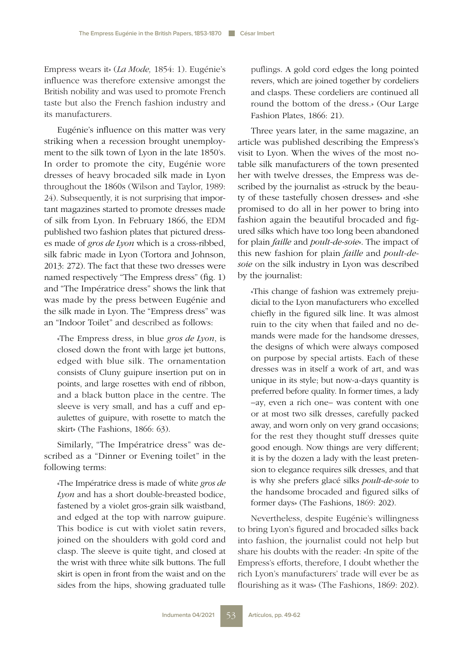Empress wears it» (*La Mode,* 1854: 1). Eugénie's influence was therefore extensive amongst the British nobility and was used to promote French taste but also the French fashion industry and its manufacturers.

Eugénie's influence on this matter was very striking when a recession brought unemployment to the silk town of Lyon in the late 1850's. In order to promote the city, Eugénie wore dresses of heavy brocaded silk made in Lyon throughout the 1860s (Wilson and Taylor, 1989: 24). Subsequently, it is not surprising that important magazines started to promote dresses made of silk from Lyon. In February 1866, the EDM published two fashion plates that pictured dresses made of *gros de Lyon* which is a cross-ribbed, silk fabric made in Lyon (Tortora and Johnson, 2013: 272). The fact that these two dresses were named respectively "The Empress dress" (fig. 1) and "The Impératrice dress" shows the link that was made by the press between Eugénie and the silk made in Lyon. The "Empress dress" was an "Indoor Toilet" and described as follows:

«The Empress dress, in blue *gros de Lyon*, is closed down the front with large jet buttons, edged with blue silk. The ornamentation consists of Cluny guipure insertion put on in points, and large rosettes with end of ribbon, and a black button place in the centre. The sleeve is very small, and has a cuff and epaulettes of guipure, with rosette to match the skirt» (The Fashions, 1866: 63).

Similarly, "The Impératrice dress" was described as a "Dinner or Evening toilet" in the following terms:

«The Impératrice dress is made of white *gros de Lyon* and has a short double-breasted bodice, fastened by a violet gros-grain silk waistband, and edged at the top with narrow guipure. This bodice is cut with violet satin revers, joined on the shoulders with gold cord and clasp. The sleeve is quite tight, and closed at the wrist with three white silk buttons. The full skirt is open in front from the waist and on the sides from the hips, showing graduated tulle puflings. A gold cord edges the long pointed revers, which are joined together by cordeliers and clasps. These cordeliers are continued all round the bottom of the dress.» (Our Large Fashion Plates, 1866: 21).

Three years later, in the same magazine, an article was published describing the Empress's visit to Lyon. When the wives of the most notable silk manufacturers of the town presented her with twelve dresses, the Empress was described by the journalist as «struck by the beauty of these tastefully chosen dresses» and «she promised to do all in her power to bring into fashion again the beautiful brocaded and figured silks which have too long been abandoned for plain *faille* and *poult-de-soie*». The impact of this new fashion for plain *faille* and *poult-desoie* on the silk industry in Lyon was described by the journalist:

«This change of fashion was extremely prejudicial to the Lyon manufacturers who excelled chiefly in the figured silk line. It was almost ruin to the city when that failed and no demands were made for the handsome dresses, the designs of which were always composed on purpose by special artists. Each of these dresses was in itself a work of art, and was unique in its style; but now-a-days quantity is preferred before quality. In former times, a lady –ay, even a rich one– was content with one or at most two silk dresses, carefully packed away, and worn only on very grand occasions; for the rest they thought stuff dresses quite good enough. Now things are very different; it is by the dozen a lady with the least pretension to elegance requires silk dresses, and that is why she prefers glacé silks *poult-de-soie* to the handsome brocaded and figured silks of former days» (The Fashions, 1869: 202).

Nevertheless, despite Eugénie's willingness to bring Lyon's figured and brocaded silks back into fashion, the journalist could not help but share his doubts with the reader: «In spite of the Empress's efforts, therefore, I doubt whether the rich Lyon's manufacturers' trade will ever be as flourishing as it was» (The Fashions, 1869: 202).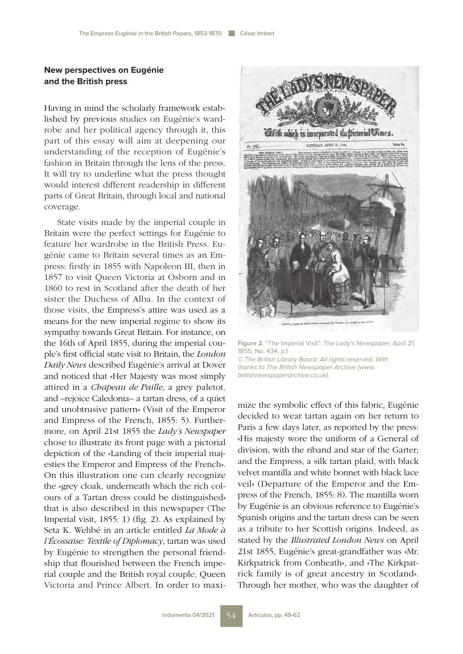# **New perspectives on Eugénie and the British press**

Having in mind the scholarly framework established by previous studies on Eugénie's wardrobe and her political agency through it, this part of this essay will aim at deepening our understanding of the reception of Eugénie's fashion in Britain through the lens of the press. It will try to underline what the press thought would interest different readership in different parts of Great Britain, through local and national coverage.

State visits made by the imperial couple in Britain were the perfect settings for Eugénie to feature her wardrobe in the British Press. Eugénie came to Britain several times as an Empress: firstly in 1855 with Napoleon III, then in 1857 to visit Queen Victoria at Osborn and in 1860 to rest in Scotland after the death of her sister the Duchess of Alba. In the context of those visits, the Empress's attire was used as a means for the new imperial regime to show its sympathy towards Great Britain. For instance, on the 16th of April 1855, during the imperial couple's first official state visit to Britain, the *London Daily News* described Eugénie's arrival at Dover and noticed that «Her Majesty was most simply attired in a *Chapeau de Paille*, a grey paletot, and –rejoice Caledonia– a tartan dress, of a quiet and unobtrusive pattern» (Visit of the Emperor and Empress of the French, 1855: 5). Furthermore, on April 21st 1855 the *Lady's Newspaper* chose to illustrate its front page with a pictorial depiction of the «Landing of their imperial majesties the Emperor and Empress of the French». On this illustration one can clearly recognize the «grey cloak, underneath which the rich colours of a Tartan dress could be distinguished» that is also described in this newspaper (The Imperial visit, 1855: 1) (fig. 2). As explained by Seta K. Wehbé in an article entitled *La Mode à l'Écossaise: Textile of Diplomacy*, tartan was used by Eugénie to strengthen the personal friendship that flourished between the French imperial couple and the British royal couple, Queen Victoria and Prince Albert. In order to maxi-



**Figure 2.** "The Imperial Visit". The Lady's Newspaper, April 21, 1855, No. 434, p.1 © The British Library Board. All rights reserved. With thanks to The British Newspaper Archive (www. britishnewspaperarchive.co.uk).

mize the symbolic effect of this fabric, Eugénie decided to wear tartan again on her return to Paris a few days later, as reported by the press: «His majesty wore the uniform of a General of division, with the riband and star of the Garter; and the Empress, a silk tartan plaid, with black velvet mantilla and white bonnet with black lace veil» (Departure of the Emperor and the Empress of the French, 1855: 8). The mantilla worn by Eugénie is an obvious reference to Eugénie's Spanish origins and the tartan dress can be seen as a tribute to her Scottish origins. Indeed, as stated by the *Illustrated London News* on April 21st 1855, Eugénie's great-grandfather was «Mr. Kirkpatrick from Conheath», and «The Kirkpatrick family is of great ancestry in Scotland». Through her mother, who was the daughter of

**Artículos, pp. 49-62**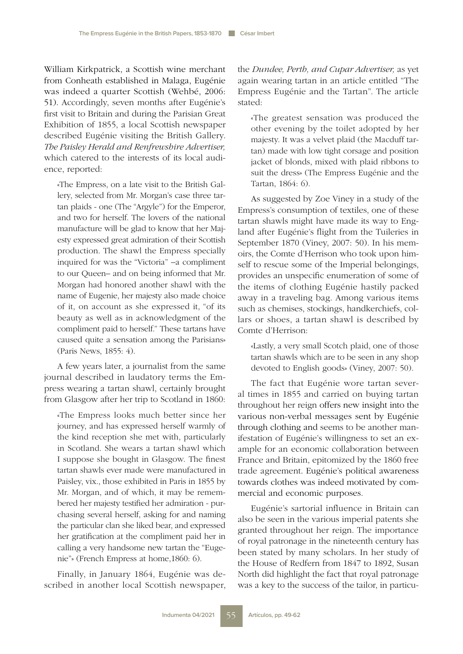William Kirkpatrick, a Scottish wine merchant from Conheath established in Malaga, Eugénie was indeed a quarter Scottish (Wehbé, 2006: 51). Accordingly, seven months after Eugénie's first visit to Britain and during the Parisian Great Exhibition of 1855, a local Scottish newspaper described Eugénie visiting the British Gallery. *The Paisley Herald and Renfrewshire Advertiser,*  which catered to the interests of its local audience, reported:

«The Empress, on a late visit to the British Gallery, selected from Mr. Morgan's case three tartan plaids - one (The "Argyle") for the Emperor, and two for herself. The lovers of the national manufacture will be glad to know that her Majesty expressed great admiration of their Scottish production. The shawl the Empress specially inquired for was the "Victoria" –a compliment to our Queen– and on being informed that Mr. Morgan had honored another shawl with the name of Eugenie, her majesty also made choice of it, on account as she expressed it, "of its beauty as well as in acknowledgment of the compliment paid to herself." These tartans have caused quite a sensation among the Parisians» (Paris News, 1855: 4).

A few years later, a journalist from the same journal described in laudatory terms the Empress wearing a tartan shawl, certainly brought from Glasgow after her trip to Scotland in 1860:

«The Empress looks much better since her journey, and has expressed herself warmly of the kind reception she met with, particularly in Scotland. She wears a tartan shawl which I suppose she bought in Glasgow. The finest tartan shawls ever made were manufactured in Paisley, vix., those exhibited in Paris in 1855 by Mr. Morgan, and of which, it may be remembered her majesty testified her admiration - purchasing several herself, asking for and naming the particular clan she liked bear, and expressed her gratification at the compliment paid her in calling a very handsome new tartan the "Eugenie"» (French Empress at home,1860: 6).

Finally, in January 1864, Eugénie was described in another local Scottish newspaper, the *Dundee, Perth, and Cupar Advertiser,* as yet again wearing tartan in an article entitled "The Empress Eugénie and the Tartan". The article stated:

«The greatest sensation was produced the other evening by the toilet adopted by her majesty. It was a velvet plaid (the Macduff tartan) made with low tight corsage and position jacket of blonds, mixed with plaid ribbons to suit the dress» (The Empress Eugénie and the Tartan, 1864: 6).

As suggested by Zoe Viney in a study of the Empress's consumption of textiles, one of these tartan shawls might have made its way to England after Eugénie's flight from the Tuileries in September 1870 (Viney, 2007: 50). In his memoirs, the Comte d'Herrison who took upon himself to rescue some of the Imperial belongings, provides an unspecific enumeration of some of the items of clothing Eugénie hastily packed away in a traveling bag. Among various items such as chemises, stockings, handkerchiefs, collars or shoes, a tartan shawl is described by Comte d'Herrison:

«Lastly, a very small Scotch plaid, one of those tartan shawls which are to be seen in any shop devoted to English goods» (Viney, 2007: 50).

The fact that Eugénie wore tartan several times in 1855 and carried on buying tartan throughout her reign offers new insight into the various non-verbal messages sent by Eugénie through clothing and seems to be another manifestation of Eugénie's willingness to set an example for an economic collaboration between France and Britain, epitomized by the 1860 free trade agreement. Eugénie's political awareness towards clothes was indeed motivated by commercial and economic purposes.

Eugénie's sartorial influence in Britain can also be seen in the various imperial patents she granted throughout her reign. The importance of royal patronage in the nineteenth century has been stated by many scholars. In her study of the House of Redfern from 1847 to 1892, Susan North did highlight the fact that royal patronage was a key to the success of the tailor, in particu-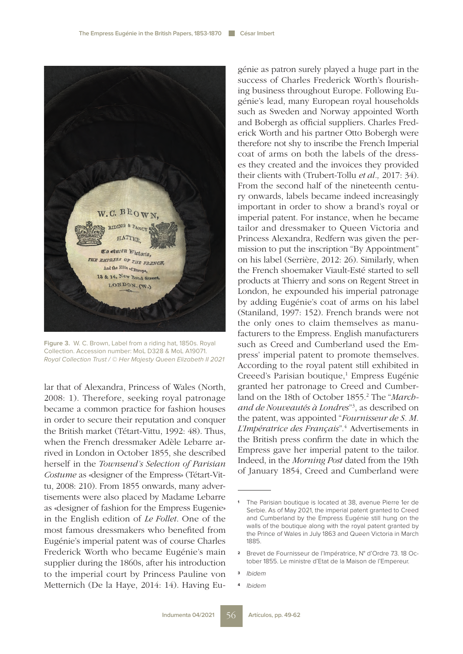

**Figure 3.** W. C. Brown, Label from a riding hat, 1850s. Royal Collection. Accession number: MoL D328 & MoL A19071. Royal Collection Trust / © Her Majesty Queen Elizabeth II 2021

lar that of Alexandra, Princess of Wales (North, 2008: 1). Therefore, seeking royal patronage became a common practice for fashion houses in order to secure their reputation and conquer the British market (Tétart-Vittu, 1992: 48). Thus, when the French dressmaker Adèle Lebarre arrived in London in October 1855, she described herself in the *Townsend's Selection of Parisian Costume* as «designer of the Empress» (Tétart-Vittu, 2008: 210). From 1855 onwards, many advertisements were also placed by Madame Lebarre as «designer of fashion for the Empress Eugenie» in the English edition of *Le Follet*. One of the most famous dressmakers who benefited from Eugénie's imperial patent was of course Charles Frederick Worth who became Eugénie's main supplier during the 1860s, after his introduction to the imperial court by Princess Pauline von Metternich (De la Haye, 2014: 14). Having Eugénie as patron surely played a huge part in the success of Charles Frederick Worth's flourishing business throughout Europe. Following Eugénie's lead, many European royal households such as Sweden and Norway appointed Worth and Bobergh as official suppliers. Charles Frederick Worth and his partner Otto Bobergh were therefore not shy to inscribe the French Imperial coat of arms on both the labels of the dresses they created and the invoices they provided their clients with (Trubert-Tollu *et al.,* 2017: 34). From the second half of the nineteenth century onwards, labels became indeed increasingly important in order to show a brand's royal or imperial patent. For instance, when he became tailor and dressmaker to Queen Victoria and Princess Alexandra, Redfern was given the permission to put the inscription "By Appointment" on his label (Serrière, 2012: 26). Similarly, when the French shoemaker Viault-Esté started to sell products at Thierry and sons on Regent Street in London, he expounded his imperial patronage by adding Eugénie's coat of arms on his label (Staniland, 1997: 152). French brands were not the only ones to claim themselves as manufacturers to the Empress. English manufacturers such as Creed and Cumberland used the Empress' imperial patent to promote themselves. According to the royal patent still exhibited in Creeed's Parisian boutique,<sup>1</sup> Empress Eugénie granted her patronage to Creed and Cumberland on the 18th of October 1855.<sup>2</sup> The "March*and de Nouveautés à Londres*"3 , as described on the patent, was appointed "*Fournisseur de S. M. L'Impératrice des Français*".4 Advertisements in the British press confirm the date in which the Empress gave her imperial patent to the tailor. Indeed, in the *Morning Post* dated from the 19th of January 1854, Creed and Cumberland were

- **<sup>3</sup>** *Ibidem*
- **<sup>4</sup>** *Ibidem*

**<sup>1</sup>** The Parisian boutique is located at 38, avenue Pierre 1er de Serbie. As of May 2021, the imperial patent granted to Creed and Cumberland by the Empress Eugénie still hung on the walls of the boutique along with the royal patent granted by the Prince of Wales in July 1863 and Queen Victoria in March 1885.

**<sup>2</sup>** Brevet de Fournisseur de l'Impératrice, N° d'Ordre 73. 18 October 1855. Le ministre d'Etat de la Maison de l'Empereur.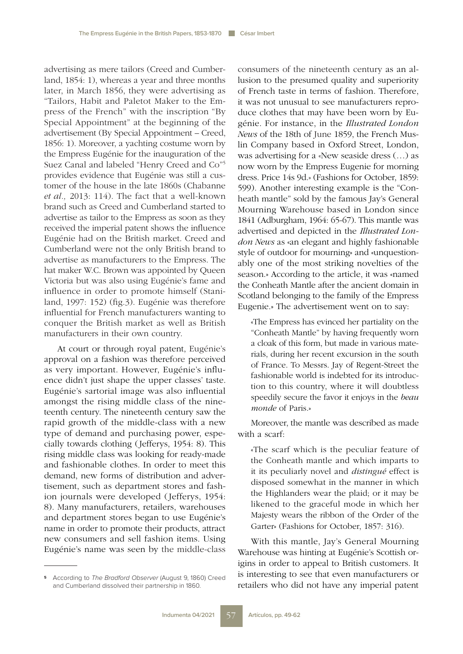advertising as mere tailors (Creed and Cumberland, 1854: 1), whereas a year and three months later, in March 1856, they were advertising as "Tailors, Habit and Paletot Maker to the Empress of the French" with the inscription "By Special Appointment" at the beginning of the advertisement (By Special Appointment – Creed, 1856: 1). Moreover, a yachting costume worn by the Empress Eugénie for the inauguration of the Suez Canal and labeled "Henry Creed and Co"5 provides evidence that Eugénie was still a customer of the house in the late 1860s (Chabanne *et al.,* 2013: 114). The fact that a well-known brand such as Creed and Cumberland started to advertise as tailor to the Empress as soon as they received the imperial patent shows the influence Eugénie had on the British market. Creed and Cumberland were not the only British brand to advertise as manufacturers to the Empress. The hat maker W.C. Brown was appointed by Queen Victoria but was also using Eugénie's fame and influence in order to promote himself (Staniland, 1997: 152) (fig.3). Eugénie was therefore influential for French manufacturers wanting to conquer the British market as well as British manufacturers in their own country.

At court or through royal patent, Eugénie's approval on a fashion was therefore perceived as very important. However, Eugénie's influence didn't just shape the upper classes' taste. Eugénie's sartorial image was also influential amongst the rising middle class of the nineteenth century. The nineteenth century saw the rapid growth of the middle-class with a new type of demand and purchasing power, especially towards clothing (Jefferys, 1954: 8). This rising middle class was looking for ready-made and fashionable clothes. In order to meet this demand, new forms of distribution and advertisement, such as department stores and fashion journals were developed (Jefferys, 1954: 8). Many manufacturers, retailers, warehouses and department stores began to use Eugénie's name in order to promote their products, attract new consumers and sell fashion items. Using Eugénie's name was seen by the middle-class consumers of the nineteenth century as an allusion to the presumed quality and superiority of French taste in terms of fashion. Therefore, it was not unusual to see manufacturers reproduce clothes that may have been worn by Eugénie. For instance, in the *Illustrated London News* of the 18th of June 1859, the French Muslin Company based in Oxford Street, London, was advertising for a «New seaside dress (…) as now worn by the Empress Eugenie for morning dress. Price 14s 9d.» (Fashions for October, 1859: 599). Another interesting example is the "Conheath mantle" sold by the famous Jay's General Mourning Warehouse based in London since 1841 (Adburgham, 1964: 65-67). This mantle was advertised and depicted in the *Illustrated London News* as «an elegant and highly fashionable style of outdoor for mourning» and «unquestionably one of the most striking novelties of the season.» According to the article, it was «named the Conheath Mantle after the ancient domain in Scotland belonging to the family of the Empress Eugenie.» The advertisement went on to say:

«The Empress has evinced her partiality on the "Conheath Mantle" by having frequently worn a cloak of this form, but made in various materials, during her recent excursion in the south of France. To Messrs. Jay of Regent-Street the fashionable world is indebted for its introduction to this country, where it will doubtless speedily secure the favor it enjoys in the *beau monde* of Paris.»

Moreover, the mantle was described as made with a scarf:

«The scarf which is the peculiar feature of the Conheath mantle and which imparts to it its peculiarly novel and *distingué* effect is disposed somewhat in the manner in which the Highlanders wear the plaid; or it may be likened to the graceful mode in which her Majesty wears the ribbon of the Order of the Garter» (Fashions for October, 1857: 316).

With this mantle, Jay's General Mourning Warehouse was hinting at Eugénie's Scottish origins in order to appeal to British customers. It is interesting to see that even manufacturers or retailers who did not have any imperial patent

**<sup>5</sup>** According to *The Bradford Observer* (August 9, 1860) Creed and Cumberland dissolved their partnership in 1860.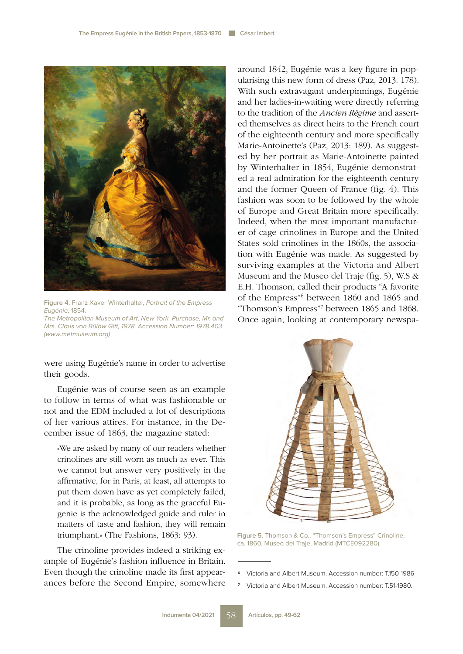

**Figure 4.** Franz Xaver Winterhalter, Portrait of the Empress Eugénie, 1854.

The Metropolitan Museum of Art, New York. Purchase, Mr. and Mrs. Claus von Bülow Gift, 1978. Accession Number: 1978.403 (www.metmuseum.org)

were using Eugénie's name in order to advertise their goods.

Eugénie was of course seen as an example to follow in terms of what was fashionable or not and the EDM included a lot of descriptions of her various attires. For instance, in the December issue of 1863, the magazine stated:

«We are asked by many of our readers whether crinolines are still worn as much as ever. This we cannot but answer very positively in the affirmative, for in Paris, at least, all attempts to put them down have as yet completely failed, and it is probable, as long as the graceful Eugenie is the acknowledged guide and ruler in matters of taste and fashion, they will remain triumphant.» (The Fashions, 1863: 93).

The crinoline provides indeed a striking example of Eugénie's fashion influence in Britain. Even though the crinoline made its first appearances before the Second Empire, somewhere around 1842, Eugénie was a key figure in popularising this new form of dress (Paz, 2013: 178). With such extravagant underpinnings, Eugénie and her ladies-in-waiting were directly referring to the tradition of the *Ancien Régime* and asserted themselves as direct heirs to the French court of the eighteenth century and more specifically Marie-Antoinette's (Paz, 2013: 189). As suggested by her portrait as Marie-Antoinette painted by Winterhalter in 1854, Eugénie demonstrated a real admiration for the eighteenth century and the former Queen of France (fig. 4). This fashion was soon to be followed by the whole of Europe and Great Britain more specifically. Indeed, when the most important manufacturer of cage crinolines in Europe and the United States sold crinolines in the 1860s, the association with Eugénie was made. As suggested by surviving examples at the Victoria and Albert Museum and the Museo del Traje (fig. 5), W.S & E.H. Thomson, called their products "A favorite of the Empress"6 between 1860 and 1865 and "Thomson's Empress"7 between 1865 and 1868. Once again, looking at contemporary newspa-



**Figure 5.** Thomson & Co., "Thomson's Empress" Crinoline, ca. 1860. Museo del Traje, Madrid (MTCE092280).

- **<sup>6</sup>** Victoria and Albert Museum. Accession number: T.150-1986
- **<sup>7</sup>** Victoria and Albert Museum. Accession number: T.51-1980.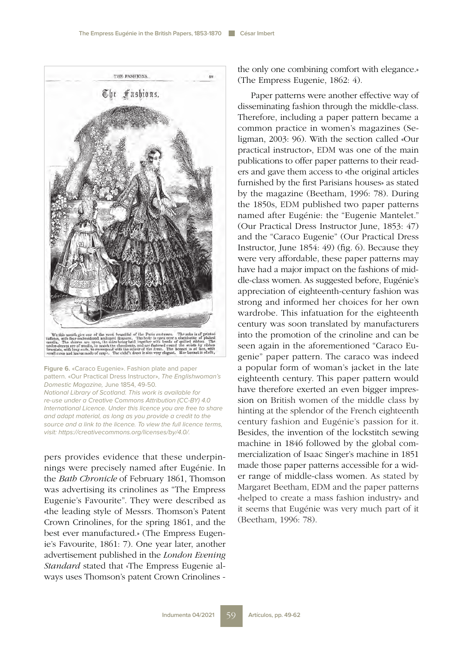

**Figure 6.** «Caraco Eugenie». Fashion plate and paper pattern. «Our Practical Dress Instructor», The Englishwoman's Domestic Magazine, June 1854, 49-50. National Library of Scotland. This work is available for re-use under a Creative Commons Attribution (CC-BY) 4.0 International Licence. Under this licence you are free to share and adapt material, as long as you provide a credit to the source and a link to the licence. To view the full licence terms, visit: https://creativecommons.org/licenses/by/4.0/.

pers provides evidence that these underpinnings were precisely named after Eugénie. In the *Bath Chronicle* of February 1861, Thomson was advertising its crinolines as "The Empress Eugenie's Favourite". They were described as «the leading style of Messrs. Thomson's Patent Crown Crinolines, for the spring 1861, and the best ever manufactured.» (The Empress Eugenie's Favourite, 1861: 7). One year later, another advertisement published in the *London Evening Standard* stated that «The Empress Eugenie always uses Thomson's patent Crown Crinolines - the only one combining comfort with elegance.» (The Empress Eugenie, 1862: 4).

Paper patterns were another effective way of disseminating fashion through the middle-class. Therefore, including a paper pattern became a common practice in women's magazines (Seligman, 2003: 96). With the section called «Our practical instructor», EDM was one of the main publications to offer paper patterns to their readers and gave them access to «the original articles furnished by the first Parisians houses» as stated by the magazine (Beetham, 1996: 78). During the 1850s, EDM published two paper patterns named after Eugénie: the "Eugenie Mantelet." (Our Practical Dress Instructor June, 1853: 47) and the "Caraco Eugenie" (Our Practical Dress Instructor, June 1854: 49) (fig. 6). Because they were very affordable, these paper patterns may have had a major impact on the fashions of middle-class women. As suggested before, Eugénie's appreciation of eighteenth-century fashion was strong and informed her choices for her own wardrobe. This infatuation for the eighteenth century was soon translated by manufacturers into the promotion of the crinoline and can be seen again in the aforementioned "Caraco Eugenie" paper pattern. The caraco was indeed a popular form of woman's jacket in the late eighteenth century. This paper pattern would have therefore exerted an even bigger impression on British women of the middle class by hinting at the splendor of the French eighteenth century fashion and Eugénie's passion for it. Besides, the invention of the lockstitch sewing machine in 1846 followed by the global commercialization of Isaac Singer's machine in 1851 made those paper patterns accessible for a wider range of middle-class women. As stated by Margaret Beetham, EDM and the paper patterns «helped to create a mass fashion industry» and it seems that Eugénie was very much part of it (Beetham, 1996: 78).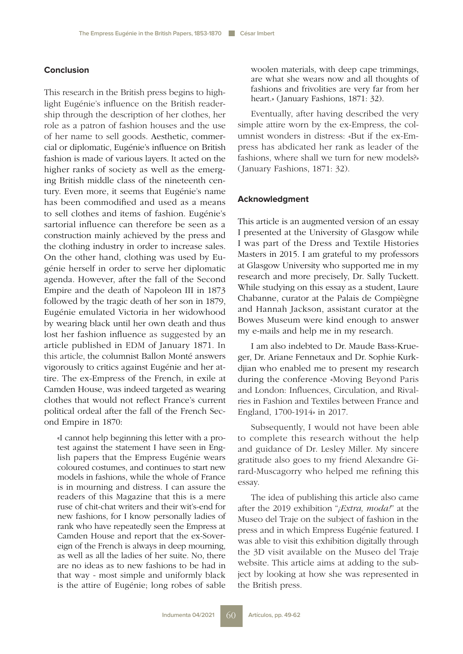## **Conclusion**

This research in the British press begins to highlight Eugénie's influence on the British readership through the description of her clothes, her role as a patron of fashion houses and the use of her name to sell goods. Aesthetic, commercial or diplomatic, Eugénie's influence on British fashion is made of various layers. It acted on the higher ranks of society as well as the emerging British middle class of the nineteenth century. Even more, it seems that Eugénie's name has been commodified and used as a means to sell clothes and items of fashion. Eugénie's sartorial influence can therefore be seen as a construction mainly achieved by the press and the clothing industry in order to increase sales. On the other hand, clothing was used by Eugénie herself in order to serve her diplomatic agenda. However, after the fall of the Second Empire and the death of Napoleon III in 1873 followed by the tragic death of her son in 1879, Eugénie emulated Victoria in her widowhood by wearing black until her own death and thus lost her fashion influence as suggested by an article published in EDM of January 1871. In this article, the columnist Ballon Monté answers vigorously to critics against Eugénie and her attire. The ex-Empress of the French, in exile at Camden House, was indeed targeted as wearing clothes that would not reflect France's current political ordeal after the fall of the French Second Empire in 1870:

«I cannot help beginning this letter with a protest against the statement I have seen in English papers that the Empress Eugénie wears coloured costumes, and continues to start new models in fashions, while the whole of France is in mourning and distress. I can assure the readers of this Magazine that this is a mere ruse of chit-chat writers and their wit's-end for new fashions, for I know personally ladies of rank who have repeatedly seen the Empress at Camden House and report that the ex-Sovereign of the French is always in deep mourning, as well as all the ladies of her suite. No, there are no ideas as to new fashions to be had in that way - most simple and uniformly black is the attire of Eugénie; long robes of sable woolen materials, with deep cape trimmings, are what she wears now and all thoughts of fashions and frivolities are very far from her heart.» (January Fashions, 1871: 32).

Eventually, after having described the very simple attire worn by the ex-Empress, the columnist wonders in distress: «But if the ex-Empress has abdicated her rank as leader of the fashions, where shall we turn for new models?» (January Fashions, 1871: 32).

#### **Acknowledgment**

This article is an augmented version of an essay I presented at the University of Glasgow while I was part of the Dress and Textile Histories Masters in 2015. I am grateful to my professors at Glasgow University who supported me in my research and more precisely, Dr. Sally Tuckett. While studying on this essay as a student, Laure Chabanne, curator at the Palais de Compiègne and Hannah Jackson, assistant curator at the Bowes Museum were kind enough to answer my e-mails and help me in my research.

I am also indebted to Dr. Maude Bass-Krueger, Dr. Ariane Fennetaux and Dr. Sophie Kurkdjian who enabled me to present my research during the conference «Moving Beyond Paris and London: Influences, Circulation, and Rivalries in Fashion and Textiles between France and England, 1700-1914» in 2017.

Subsequently, I would not have been able to complete this research without the help and guidance of Dr. Lesley Miller. My sincere gratitude also goes to my friend Alexandre Girard-Muscagorry who helped me refining this essay.

The idea of publishing this article also came after the 2019 exhibition "*¡Extra, moda!*" at the Museo del Traje on the subject of fashion in the press and in which Empress Eugénie featured. I was able to visit this exhibition digitally through the 3D visit available on the Museo del Traje website. This article aims at adding to the subject by looking at how she was represented in the British press.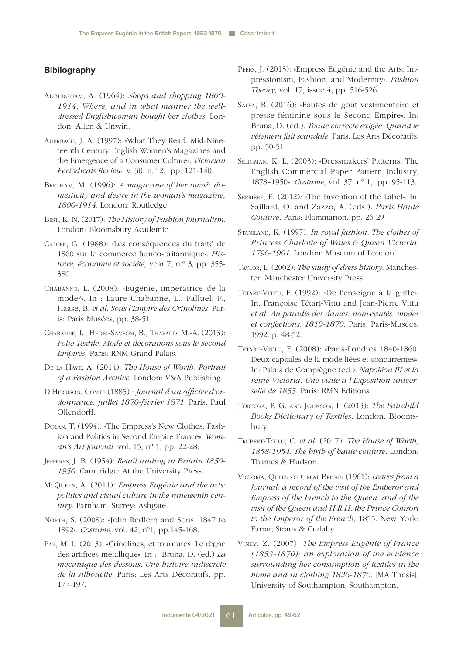## **Bibliography**

- Adburgham, A. (1964): *Shops and shopping 1800- 1914. Where, and in what manner the welldressed Englishwoman bought her clothes.* London: Allen & Unwin.
- Auerbach, J. A. (1997): «What They Read. Mid-Nineteenth Century English Women's Magazines and the Emergence of a Consumer Culture». *Victorian Periodicals Review,* v. 30. n.º 2, pp. 121-140.
- BEETHAM, M. (1996): *A magazine of her own?: domesticity and desire in the woman's magazine, 1800-1914.* London: Routledge.
- Best, K. N. (2017): *The History of Fashion Journalism*. London: Bloomsbury Academic.
- Cadier, G. (1988): «Les conséquences du traité de 1860 sur le commerce franco-britannique». *Histoire, économie et société,* year 7, n.º 3*,* pp. 355- 380.
- Chabanne, L. (2008): «Eugénie, impératrice de la mode?». In : Laure Chabanne, L., Falluel, F., Haase, B. *et al*. *Sous l'Empire des Crinolines.* Paris: Paris Musées, pp. 38-51.
- Chabanne, L., Hedel-Samsom, B., Tharaud, M.-A. (2013): *Folie Textile, Mode et décorations sous le Second Empires.* Paris: RNM-Grand-Palais.
- De la Haye, A. (2014): *The House of Worth. Portrait of a Fashion Archive*. London: V&A Publishing.
- D'Herrison, Comte (1885) : *Journal d'un officier d'ordonnance: juillet 1870-février 1871*. Paris: Paul Ollendorff.
- Dolan, T. (1994): «The Empress's New Clothes: Fashion and Politics in Second Empire France»*. Woman's Art Journal,* vol. 15, nº 1, pp. 22-28.
- Jefferys, J. B. (1954): *Retail trading in Britain 1850- 1950.* Cambridge: At the University Press.
- McQueen, A. (2011): *Empress Eugénie and the arts: politics and visual culture in the nineteenth century.* Farnham, Surrey: Ashgate.
- NORTH, S. (2008): «John Redfern and Sons, 1847 to 1892». *Costume,* vol. 42, nº1, pp.145-168.
- Paz, M. L. (2013): «Crinolines, et tournures. Le règne des artifices métallique». In : Bruna, D. (ed.) *La mécanique des dessous. Une histoire indiscrète de la silhouette.* Paris: Les Arts Décoratifs, pp. 177-197.
- Peers, J. (2013): «Empress Eugénie and the Arts; Impressionism, Fashion, and Modernity». *Fashion Theory,* vol. 17, issue 4, pp. 516-526.
- Salva, B. (2016): «Fautes de goût vestimentaire et presse féminine sous le Second Empire». In: Bruna, D. (ed.). *Tenue correcte exigée. Quand le vêtement fait scandale.* Paris: Les Arts Décoratifs, pp. 50-51.
- Seligman, K. L. (2003): «Dressmakers' Patterns. The English Commercial Paper Pattern Industry, 1878–1950». *Costume,* vol. 37, nº 1, pp. 95-113.
- Serrière, E. (2012): «The Invention of the Label». In. Saillard, O. and Zazzo, A. (eds.). *Paris Haute Couture.* Paris: Flammarion, pp. 26-29
- Staniland, K. (1997): *In royal fashion. The clothes of Princess Charlotte of Wales & Queen Victoria*, *1796-1901.* London: Museum of London.
- Taylor, L. (2002): *The study of dress history*. Manchester: Manchester University Press.
- Tétart-Vittu, F. (1992): «De l'enseigne à la griffe». In: Françoise Tétart-Vittu and Jean-Pierre Vittu *et al*. *Au paradis des dames: nouveautés, modes et confections: 1810-1870.* Paris: Paris-Musées, 1992. p. 48-52.
- Tétart-Vittu, F. (2008): «Paris-Londres 1840-1860. Deux capitales de la mode liées et concurrentes». In: Palais de Compiègne (ed.). *Napoléon III et la reine Victoria. Une visite à l'Exposition universelle de 1855*. Paris: RMN Editions.
- Tortora, P. G. and Johnson, I. (2013): *The Fairchild Books Dictionary of Textiles.* London: Bloomsbury.
- Trubert-Tollu, C. *et al.* (2017): *The House of Worth, 1858-1954. The birth of haute couture*. London: Thames & Hudson.
- Victoria, Queen of Great Britain (1961): *Leaves from a Journal, a record of the visit of the Emperor and Empress of the French to the Queen, and of the visit of the Queen and H.R.H. the Prince Consort to the Emperor of the French*, 1855. New York: Farrar, Straus & Cudahy.
- Viney, Z. (2007): *The Empress Eugénie of France (1853-1870): an exploration of the evidence surrounding her consumption of textiles in the home and in clothing 1826-1870.* [MA Thesis], University of Southampton, Southampton.